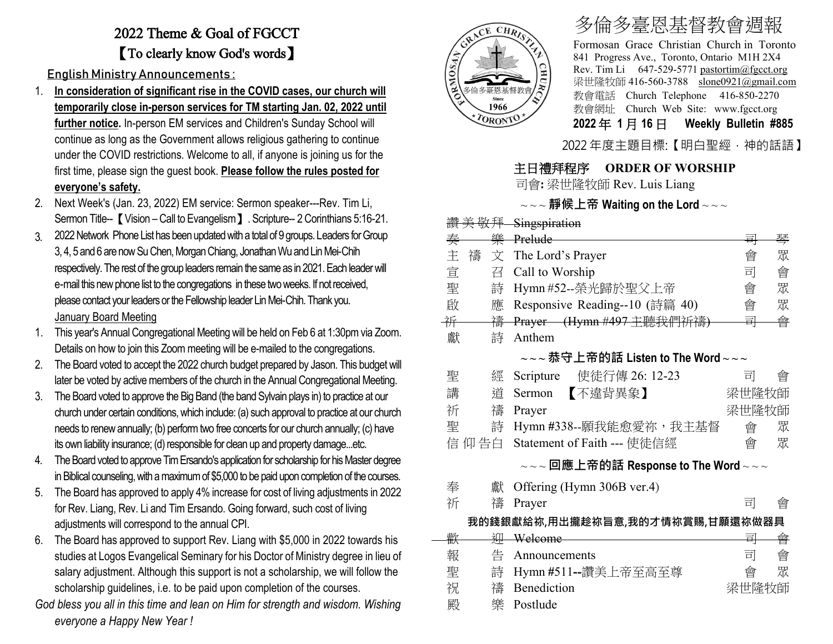## 2022 Theme & Goal of FGCCT 【To clearly know God's words】

English Ministry Announcements :

- 1. **In consideration of significant rise in the COVID cases, our church will temporarily close in-person services for TM starting Jan. 02, 2022 until further notice.** In-person EM services and Children's Sunday School will continue as long as the Government allows religious gathering to continue under the COVID restrictions. Welcome to all, if anyone is joining us for the first time, please sign the guest book. **Please follow the rules posted for everyone's safety.**
- 2. Next Week's (Jan. 23, 2022) EM service: Sermon speaker---Rev. Tim Li, Sermon Title-- 【Vision – Call to Evangelism 】. Scripture-- 2 Corinthians 5:16-21.
- 3. 2022Network Phone List has been updatedwith a total of 9 groups. Leaders for Group 3, 4, 5 and 6 are now Su Chen, Morgan Chiang, Jonathan Wu and Lin Mei-Chih respectively. The rest of the group leaders remain the same as in 2021. Each leader will e-mail this new phone list to the congregations in these two weeks. If not received, please contact your leaders or the Fellowship leader Lin Mei-Chih. Thank you. January Board Meeting
- 1. This year's Annual Congregational Meeting will be held on Feb 6 at 1:30pmvia Zoom. Details on how to join this Zoom meeting will be e-mailed to the congregations.
- 2. The Board voted to accept the 2022 church budget prepared by Jason. This budget will later be voted by active members of the church in the Annual Congregational Meeting.
- 3. The Board voted to approve the Big Band (the band Sylvain plays in) to practice at our church under certain conditions, which include: (a) such approval to practice at our church needs to renew annually; (b) perform two free concerts for our church annually; (c) have its own liability insurance; (d) responsible for clean up and property damage...etc.
- 4. The Board voted to approve Tim Ersando's application for scholarship for his Master degree in Biblical counseling, with a maximum of \$5,000 to be paid upon completion of the courses.
- 5. The Board has approved to apply 4% increase for cost of living adjustments in 2022 for Rev. Liang, Rev. Li and Tim Ersando. Going forward, such cost of living adjustments will correspond to the annual CPI.
- 6. The Board has approved to support Rev. Liang with \$5,000 in 2022 towards his studies at Logos Evangelical Seminary for his Doctor of Ministry degree in lieu of salary adjustment. Although this support is not a scholarship, we will follow the scholarship guidelines, i.e. to be paid upon completion of the courses.
- *God bless you all in this time and lean on Him for strength and wisdom. Wishing everyone a Happy New Year !*



讚 美 敬拜 Singspiration

## 多倫多臺恩基督教會週報

Formosan Grace Christian Church in Toronto 841 Progress Ave., Toronto, Ontario M1H 2X4 Rev. Tim Li 647-529-5771 [pastortim@fgcct.org](mailto:pastortim@fgcct.org) 梁世隆牧師 416-560-3788 slone0921@gmail.com 教會電話 Church Telephone 416-850-2270 教會網址 Church Web Site: www.fgcct.org **2022** 年 **1** 月 **16** 日 **Weekly Bulletin #885** 

2022 年度主題目標:【明白聖經,神的話語】

## 主日禮拜程序 **ORDER OF WORSHIP**

司會**:** 梁世隆牧師 Rev. Luis Liang

## ~ ~ ~ **靜候上帝 Waiting on the Lord** ~ ~ ~

| 奏 | 樂      | Prelude                                                                                                      | 亩     | 琴 |
|---|--------|--------------------------------------------------------------------------------------------------------------|-------|---|
| 主 | 禱<br>文 | The Lord's Prayer                                                                                            | 會     | 眾 |
| 宣 | 召      | Call to Worship                                                                                              | 司     | 會 |
| 聖 | 詩      | Hymn #52--榮光歸於聖父上帝                                                                                           | 會     | 眾 |
| 啟 | 應      | Responsive Reading--10 (詩篇 40)                                                                               | 會     | 眾 |
| 祈 | 禱      | Prayer (Hymn #497 主聽我們祈禱)                                                                                    | 쿜     | 會 |
| 獻 | 詩      | Anthem                                                                                                       |       |   |
|   |        | $\scriptstyle\mathtt{\sim}\mathtt{\sim}$ ~恭守上帝的話 Listen to The Word $\scriptstyle\mathtt{\sim}\mathtt{\sim}$ |       |   |
| 聖 | 經      | 使徒行傳 26: 12-23<br>Scripture                                                                                  | 킈     | 曾 |
| 講 | 道      | 【不違背異象】<br>Sermon                                                                                            | 梁世隆牧師 |   |
| 祈 | 禱      | Prayer                                                                                                       | 梁世隆牧師 |   |
| 聖 | 詩      | Hymn #338--願我能愈愛祢,我主基督                                                                                       | 會     | 眾 |
|   | 信 仰 告白 | Statement of Faith --- 使徒信經                                                                                  | 會     | 眾 |
|   |        | ~~~回應上帝的話 Response to The Word~~~                                                                            |       |   |
| 奉 | 獻      | Offering (Hymn 306B ver.4)                                                                                   |       |   |
| 祈 | 禱      | Prayer                                                                                                       | 司     | 會 |
|   |        | 我的錢銀獻給祢,用出攏趁祢旨意,我的才情祢賞賜,甘願還祢做器具                                                                              |       |   |
| 歡 | 泖      | Welcome                                                                                                      | 큨     | 會 |
| 報 | 告      | Announcements                                                                                                | 司     | 會 |
| 聖 | 詩      | Hymn #511--讚美上帝至高至尊                                                                                          | 會     | 眾 |
| 祝 | 禱      | Benediction                                                                                                  | 梁世隆牧師 |   |
| 殿 | 樂      | Postlude                                                                                                     |       |   |